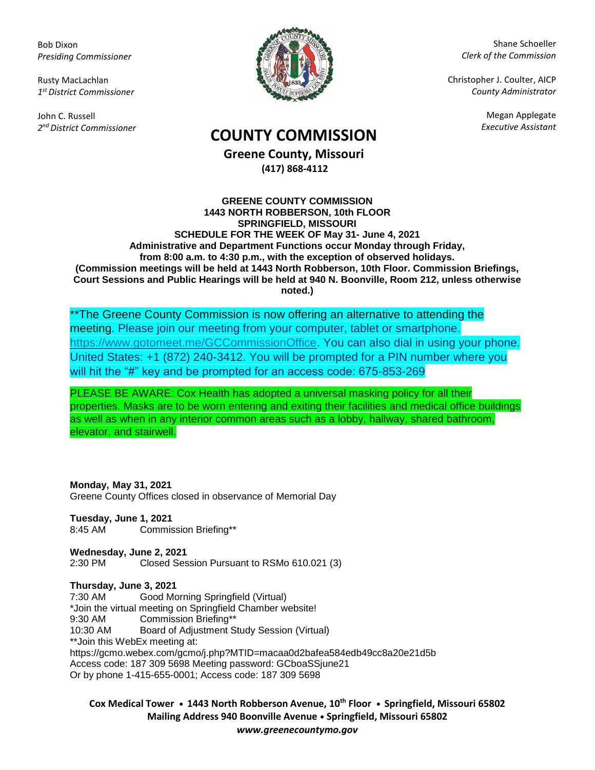Bob Dixon *Presiding Commissioner*

Rusty MacLachlan *1 st District Commissioner*

John C. Russell *2 nd District Commissioner*



Shane Schoeller *Clerk of the Commission*

Christopher J. Coulter, AICP *County Administrator*

Megan Applegate

# *Executive Assistant* **COUNTY COMMISSION**

**Greene County, Missouri (417) 868-4112**

#### **GREENE COUNTY COMMISSION 1443 NORTH ROBBERSON, 10th FLOOR SPRINGFIELD, MISSOURI SCHEDULE FOR THE WEEK OF May 31- June 4, 2021 Administrative and Department Functions occur Monday through Friday, from 8:00 a.m. to 4:30 p.m., with the exception of observed holidays. (Commission meetings will be held at 1443 North Robberson, 10th Floor. Commission Briefings, Court Sessions and Public Hearings will be held at 940 N. Boonville, Room 212, unless otherwise noted.)**

\*\*The Greene County Commission is now offering an alternative to attending the meeting. Please join our meeting from your computer, tablet or smartphone. [https://www.gotomeet.me/GCCommissionOffice.](https://www.gotomeet.me/GCCommissionOffice) You can also dial in using your phone. United States: +1 (872) 240-3412. You will be prompted for a PIN number where you will hit the "#" key and be prompted for an access code: 675-853-269

PLEASE BE AWARE: Cox Health has adopted a universal masking policy for all their properties. Masks are to be worn entering and exiting their facilities and medical office buildings as well as when in any interior common areas such as a lobby, hallway, shared bathroom, elevator, and stairwell.

### **Monday, May 31, 2021**

Greene County Offices closed in observance of Memorial Day

**Tuesday, June 1, 2021** 8:45 AM Commission Briefing\*\*

**Wednesday, June 2, 2021**  2:30 PM Closed Session Pursuant to RSMo 610.021 (3)

#### **Thursday, June 3, 2021**

7:30 AM Good Morning Springfield (Virtual) \*Join the virtual meeting on Springfield Chamber website! 9:30 AM Commission Briefing\*\* 10:30 AM Board of Adjustment Study Session (Virtual) \*\*Join this WebEx meeting at: https://gcmo.webex.com/gcmo/j.php?MTID=macaa0d2bafea584edb49cc8a20e21d5b Access code: 187 309 5698 Meeting password: GCboaSSjune21 Or by phone 1-415-655-0001; Access code: 187 309 5698

**Cox Medical Tower • 1443 North Robberson Avenue, 10th Floor • Springfield, Missouri 65802 Mailing Address 940 Boonville Avenue • Springfield, Missouri 65802** *www.greenecountymo.gov*